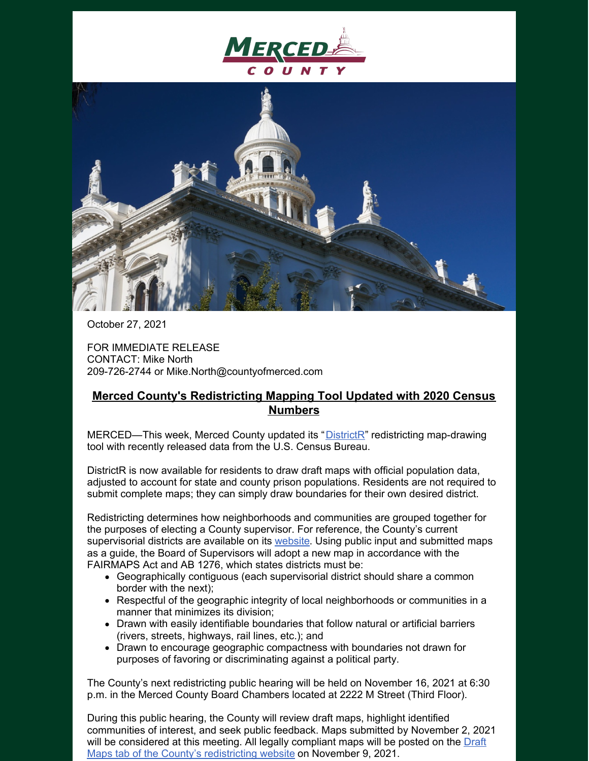



October 27, 2021

FOR IMMEDIATE RELEASE CONTACT: Mike North 209-726-2744 or Mike.North@countyofmerced.com

## **Merced County's Redistricting Mapping Tool Updated with 2020 Census Numbers**

MERCED—This week, Merced County updated its "[DistrictR](https://districtr.org/tag/mercedco)" redistricting map-drawing tool with recently released data from the U.S. Census Bureau.

DistrictR is now available for residents to draw draft maps with official population data, adjusted to account for state and county prison populations. Residents are not required to submit complete maps; they can simply draw boundaries for their own desired district.

Redistricting determines how neighborhoods and communities are grouped together for the purposes of electing a County supervisor. For reference, the County's current supervisorial districts are available on its [website](http://www.countyofmerced.com/). Using public input and submitted maps as a guide, the Board of Supervisors will adopt a new map in accordance with the FAIRMAPS Act and AB 1276, which states districts must be:

- Geographically contiguous (each supervisorial district should share a common border with the next);
- Respectful of the geographic integrity of local neighborhoods or communities in a manner that minimizes its division;
- Drawn with easily identifiable boundaries that follow natural or artificial barriers (rivers, streets, highways, rail lines, etc.); and
- Drawn to encourage geographic compactness with boundaries not drawn for purposes of favoring or discriminating against a political party.

The County's next redistricting public hearing will be held on November 16, 2021 at 6:30 p.m. in the Merced County Board Chambers located at 2222 M Street (Third Floor).

During this public hearing, the County will review draft maps, highlight identified communities of interest, and seek public feedback. Maps submitted by November 2, 2021 will be [considered](https://drawmercedcounty.org/draft-maps/) at this meeting. All legally compliant maps will be posted on the Draft Maps tab of the County's redistricting website on November 9, 2021.